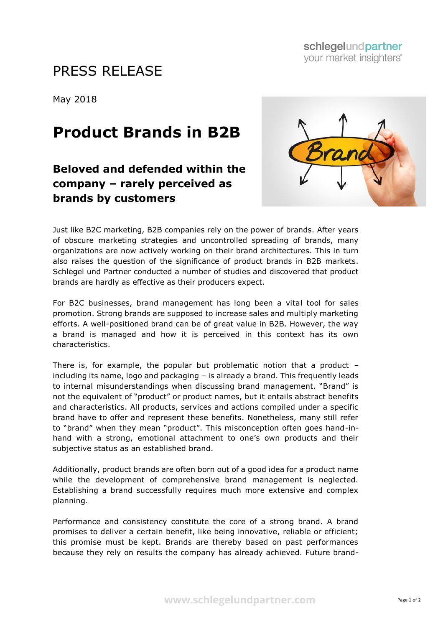## PRESS RELEASE

May 2018

## **Product Brands in B2B**

## **Beloved and defended within the company – rarely perceived as brands by customers**



Just like B2C marketing, B2B companies rely on the power of brands. After years of obscure marketing strategies and uncontrolled spreading of brands, many organizations are now actively working on their brand architectures. This in turn also raises the question of the significance of product brands in B2B markets. Schlegel und Partner conducted a number of studies and discovered that product brands are hardly as effective as their producers expect.

For B2C businesses, brand management has long been a vital tool for sales promotion. Strong brands are supposed to increase sales and multiply marketing efforts. A well-positioned brand can be of great value in B2B. However, the way a brand is managed and how it is perceived in this context has its own characteristics.

There is, for example, the popular but problematic notion that a product – including its name, logo and packaging – is already a brand. This frequently leads to internal misunderstandings when discussing brand management. "Brand" is not the equivalent of "product" or product names, but it entails abstract benefits and characteristics. All products, services and actions compiled under a specific brand have to offer and represent these benefits. Nonetheless, many still refer to "brand" when they mean "product". This misconception often goes hand-inhand with a strong, emotional attachment to one's own products and their subjective status as an established brand.

Additionally, product brands are often born out of a good idea for a product name while the development of comprehensive brand management is neglected. Establishing a brand successfully requires much more extensive and complex planning.

Performance and consistency constitute the core of a strong brand. A brand promises to deliver a certain benefit, like being innovative, reliable or efficient; this promise must be kept. Brands are thereby based on past performances because they rely on results the company has already achieved. Future brand-